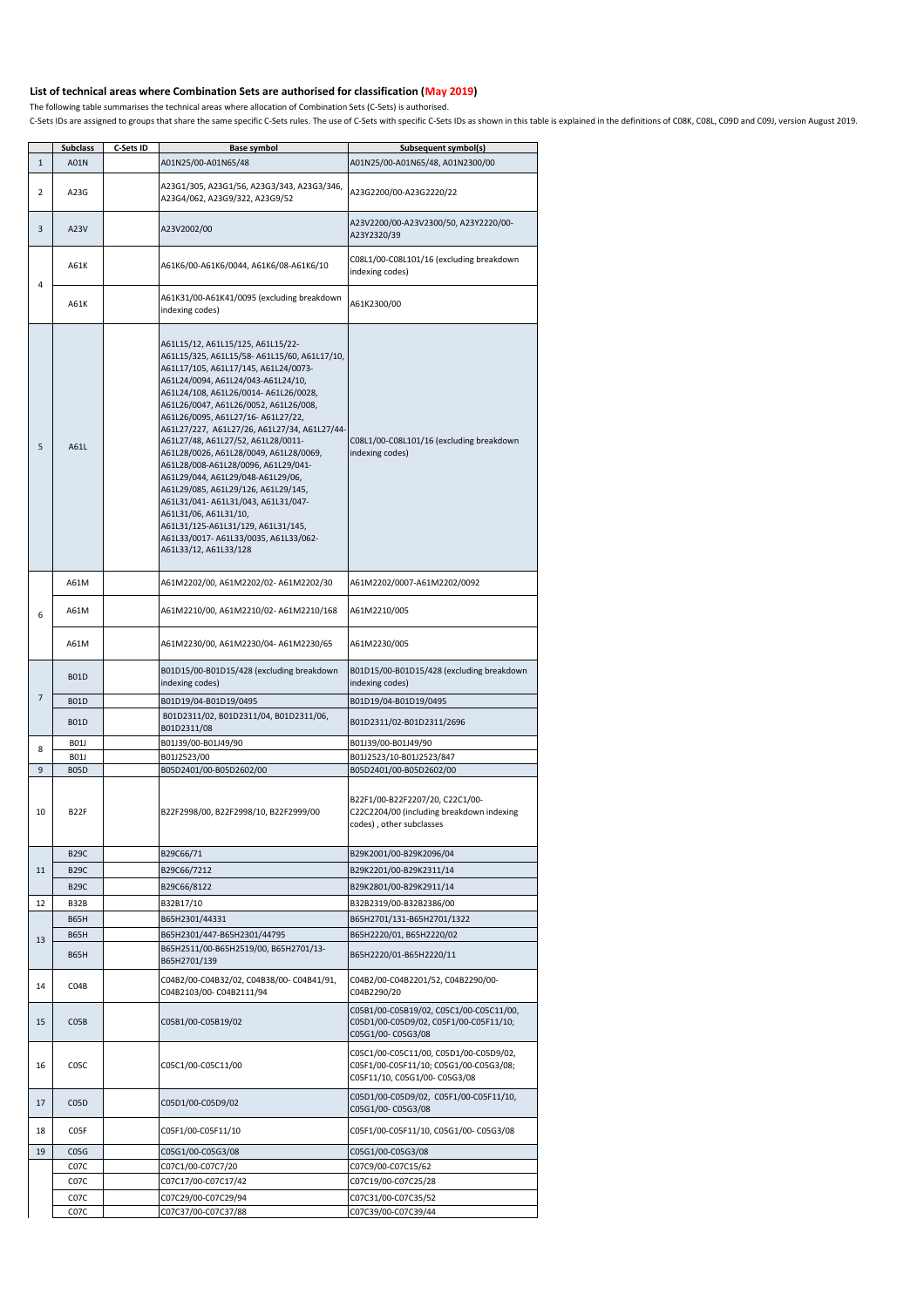## **List of technical areas where Combination Sets are authorised for classification (May 2019)**

The following table summarises the technical areas where allocation of Combination Sets (C-Sets) is authorised.

C-Sets IDs are assigned to groups that share the same specific C-Sets rules. The use of C-Sets with specific C-Sets IDs as shown in this table is explained in the definitions of CO8K, CO8L, CO9D and CO9J, version August 20

|              | <b>Subclass</b>   | <b>C-Sets ID</b> | <b>Base symbol</b>                                                                                                                                                                                                                                                                                                                                                                                                                                                                                                                                                                                                                                                                                             | <b>Subsequent symbol(s)</b>                                                                                      |
|--------------|-------------------|------------------|----------------------------------------------------------------------------------------------------------------------------------------------------------------------------------------------------------------------------------------------------------------------------------------------------------------------------------------------------------------------------------------------------------------------------------------------------------------------------------------------------------------------------------------------------------------------------------------------------------------------------------------------------------------------------------------------------------------|------------------------------------------------------------------------------------------------------------------|
| $\mathbf{1}$ | A01N              |                  | A01N25/00-A01N65/48                                                                                                                                                                                                                                                                                                                                                                                                                                                                                                                                                                                                                                                                                            | A01N25/00-A01N65/48, A01N2300/00                                                                                 |
|              |                   |                  |                                                                                                                                                                                                                                                                                                                                                                                                                                                                                                                                                                                                                                                                                                                |                                                                                                                  |
| 2            | A23G              |                  | A23G1/305, A23G1/56, A23G3/343, A23G3/346,<br>A23G4/062, A23G9/322, A23G9/52                                                                                                                                                                                                                                                                                                                                                                                                                                                                                                                                                                                                                                   | A23G2200/00-A23G2220/22                                                                                          |
| 3            | A23V              |                  | A23V2002/00                                                                                                                                                                                                                                                                                                                                                                                                                                                                                                                                                                                                                                                                                                    | A23V2200/00-A23V2300/50, A23Y2220/00-<br>A23Y2320/39                                                             |
|              | A61K              |                  | A61K6/00-A61K6/0044, A61K6/08-A61K6/10                                                                                                                                                                                                                                                                                                                                                                                                                                                                                                                                                                                                                                                                         | C08L1/00-C08L101/16 (excluding breakdown<br>indexing codes)                                                      |
| 4            | A61K              |                  | A61K31/00-A61K41/0095 (excluding breakdown<br>indexing codes)                                                                                                                                                                                                                                                                                                                                                                                                                                                                                                                                                                                                                                                  | A61K2300/00                                                                                                      |
| 5            | A61L              |                  | A61L15/12, A61L15/125, A61L15/22-<br>A61L15/325, A61L15/58-A61L15/60, A61L17/10,<br>A61L17/105, A61L17/145, A61L24/0073-<br>A61L24/0094, A61L24/043-A61L24/10,<br>A61L24/108, A61L26/0014-A61L26/0028,<br>A61L26/0047, A61L26/0052, A61L26/008,<br>A61L26/0095, A61L27/16-A61L27/22,<br>A61L27/227, A61L27/26, A61L27/34, A61L27/44-<br>A61L27/48, A61L27/52, A61L28/0011-<br>A61L28/0026, A61L28/0049, A61L28/0069,<br>A61L28/008-A61L28/0096, A61L29/041-<br>A61L29/044, A61L29/048-A61L29/06,<br>A61L29/085, A61L29/126, A61L29/145,<br>A61L31/041-A61L31/043, A61L31/047-<br>A61L31/06, A61L31/10,<br> A61L31/125-A61L31/129, A61L31/145,<br>A61L33/0017-A61L33/0035, A61L33/062-<br>A61L33/12, A61L33/128 | C08L1/00-C08L101/16 (excluding breakdown<br>indexing codes)                                                      |
|              | A61M              |                  | A61M2202/00, A61M2202/02-A61M2202/30                                                                                                                                                                                                                                                                                                                                                                                                                                                                                                                                                                                                                                                                           | A61M2202/0007-A61M2202/0092                                                                                      |
| 6            | A61M              |                  | A61M2210/00, A61M2210/02-A61M2210/168                                                                                                                                                                                                                                                                                                                                                                                                                                                                                                                                                                                                                                                                          | A61M2210/005                                                                                                     |
|              | A61M              |                  | A61M2230/00, A61M2230/04- A61M2230/65                                                                                                                                                                                                                                                                                                                                                                                                                                                                                                                                                                                                                                                                          | A61M2230/005                                                                                                     |
|              | <b>B01D</b>       |                  | B01D15/00-B01D15/428 (excluding breakdown<br>indexing codes)                                                                                                                                                                                                                                                                                                                                                                                                                                                                                                                                                                                                                                                   | B01D15/00-B01D15/428 (excluding breakdown<br>indexing codes)                                                     |
| 7            | <b>B01D</b>       |                  | B01D19/04-B01D19/0495                                                                                                                                                                                                                                                                                                                                                                                                                                                                                                                                                                                                                                                                                          | B01D19/04-B01D19/0495                                                                                            |
|              | <b>B01D</b>       |                  | B01D2311/02, B01D2311/04, B01D2311/06,<br>B01D2311/08                                                                                                                                                                                                                                                                                                                                                                                                                                                                                                                                                                                                                                                          | B01D2311/02-B01D2311/2696                                                                                        |
|              | <b>B01J</b>       |                  | B01J39/00-B01J49/90                                                                                                                                                                                                                                                                                                                                                                                                                                                                                                                                                                                                                                                                                            | B01J39/00-B01J49/90                                                                                              |
| 8            | <b>B01J</b>       |                  | B01J2523/00                                                                                                                                                                                                                                                                                                                                                                                                                                                                                                                                                                                                                                                                                                    | B01J2523/10-B01J2523/847                                                                                         |
| 9            | <b>B05D</b>       |                  | B05D2401/00-B05D2602/00                                                                                                                                                                                                                                                                                                                                                                                                                                                                                                                                                                                                                                                                                        | B05D2401/00-B05D2602/00                                                                                          |
| 10           | B <sub>22F</sub>  |                  | B22F2998/00, B22F2998/10, B22F2999/00                                                                                                                                                                                                                                                                                                                                                                                                                                                                                                                                                                                                                                                                          | B22F1/00-B22F2207/20, C22C1/00-<br>C22C2204/00 (including breakdown indexing<br>codes), other subclasses         |
|              | <b>B29C</b>       |                  | B29C66/71                                                                                                                                                                                                                                                                                                                                                                                                                                                                                                                                                                                                                                                                                                      | B29K2001/00-B29K2096/04                                                                                          |
| 11           | <b>B29C</b>       |                  | B29C66/7212                                                                                                                                                                                                                                                                                                                                                                                                                                                                                                                                                                                                                                                                                                    | B29K2201/00-B29K2311/14                                                                                          |
|              |                   |                  |                                                                                                                                                                                                                                                                                                                                                                                                                                                                                                                                                                                                                                                                                                                |                                                                                                                  |
|              | <b>B29C</b>       |                  | B29C66/8122                                                                                                                                                                                                                                                                                                                                                                                                                                                                                                                                                                                                                                                                                                    | B29K2801/00-B29K2911/14                                                                                          |
| 12           | <b>B32B</b>       |                  | B32B17/10                                                                                                                                                                                                                                                                                                                                                                                                                                                                                                                                                                                                                                                                                                      | B32B2319/00-B32B2386/00                                                                                          |
|              | <b>B65H</b>       |                  | B65H2301/44331                                                                                                                                                                                                                                                                                                                                                                                                                                                                                                                                                                                                                                                                                                 | B65H2701/131-B65H2701/1322                                                                                       |
|              | <b>B65H</b>       |                  | B65H2301/447-B65H2301/44795                                                                                                                                                                                                                                                                                                                                                                                                                                                                                                                                                                                                                                                                                    | B65H2220/01, B65H2220/02                                                                                         |
| 13           | <b>B65H</b>       |                  | B65H2511/00-B65H2519/00, B65H2701/13-<br>B65H2701/139                                                                                                                                                                                                                                                                                                                                                                                                                                                                                                                                                                                                                                                          | B65H2220/01-B65H2220/11                                                                                          |
| 14           | CO4B              |                  | C04B2/00-C04B32/02, C04B38/00-C04B41/91,<br>C04B2103/00-C04B2111/94                                                                                                                                                                                                                                                                                                                                                                                                                                                                                                                                                                                                                                            | C04B2/00-C04B2201/52, C04B2290/00-<br>C04B2290/20                                                                |
| 15           | CO5B              |                  | C05B1/00-C05B19/02                                                                                                                                                                                                                                                                                                                                                                                                                                                                                                                                                                                                                                                                                             | C05B1/00-C05B19/02, C05C1/00-C05C11/00,<br>C05D1/00-C05D9/02, C05F1/00-C05F11/10;<br>C05G1/00-C05G3/08           |
| 16           | C05C              |                  | C05C1/00-C05C11/00                                                                                                                                                                                                                                                                                                                                                                                                                                                                                                                                                                                                                                                                                             | C05C1/00-C05C11/00, C05D1/00-C05D9/02,<br>C05F1/00-C05F11/10; C05G1/00-C05G3/08;<br>C05F11/10, C05G1/00-C05G3/08 |
| 17           | C05D              |                  | C05D1/00-C05D9/02                                                                                                                                                                                                                                                                                                                                                                                                                                                                                                                                                                                                                                                                                              | C05D1/00-C05D9/02, C05F1/00-C05F11/10,<br>C05G1/00-C05G3/08                                                      |
| 18           | C <sub>05</sub> F |                  | C05F1/00-C05F11/10                                                                                                                                                                                                                                                                                                                                                                                                                                                                                                                                                                                                                                                                                             | C05F1/00-C05F11/10, C05G1/00-C05G3/08                                                                            |
| 19           | CO5G              |                  | C05G1/00-C05G3/08                                                                                                                                                                                                                                                                                                                                                                                                                                                                                                                                                                                                                                                                                              | C05G1/00-C05G3/08                                                                                                |
|              | C <sub>07</sub> C |                  | C07C1/00-C07C7/20                                                                                                                                                                                                                                                                                                                                                                                                                                                                                                                                                                                                                                                                                              | C07C9/00-C07C15/62                                                                                               |
|              | C <sub>07</sub> C |                  | C07C17/00-C07C17/42                                                                                                                                                                                                                                                                                                                                                                                                                                                                                                                                                                                                                                                                                            | C07C19/00-C07C25/28                                                                                              |
|              |                   |                  |                                                                                                                                                                                                                                                                                                                                                                                                                                                                                                                                                                                                                                                                                                                |                                                                                                                  |
|              | C <sub>07</sub> C |                  | C07C29/00-C07C29/94                                                                                                                                                                                                                                                                                                                                                                                                                                                                                                                                                                                                                                                                                            | C07C31/00-C07C35/52                                                                                              |
|              | C <sub>07</sub> C |                  | C07C37/00-C07C37/88                                                                                                                                                                                                                                                                                                                                                                                                                                                                                                                                                                                                                                                                                            | C07C39/00-C07C39/44                                                                                              |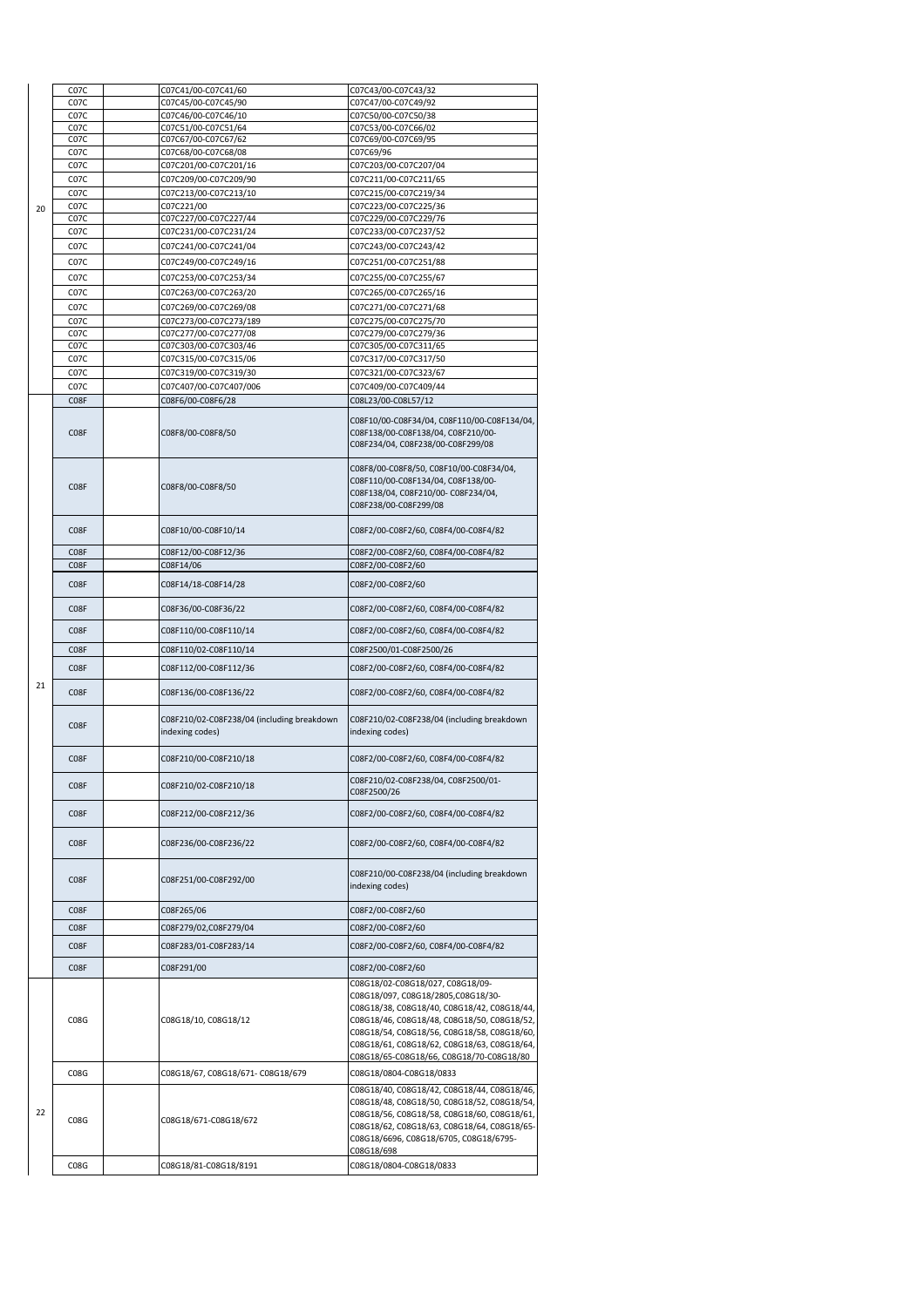|    | C <sub>07</sub> C | C07C41/00-C07C41/60                                           | C07C43/00-C07C43/32                                                                                                                                                                                                                                                                                             |
|----|-------------------|---------------------------------------------------------------|-----------------------------------------------------------------------------------------------------------------------------------------------------------------------------------------------------------------------------------------------------------------------------------------------------------------|
|    | C <sub>07</sub> C | C07C45/00-C07C45/90                                           | C07C47/00-C07C49/92                                                                                                                                                                                                                                                                                             |
|    | C <sub>07</sub> C | C07C46/00-C07C46/10                                           | C07C50/00-C07C50/38                                                                                                                                                                                                                                                                                             |
|    | C <sub>07</sub> C | C07C51/00-C07C51/64                                           | C07C53/00-C07C66/02                                                                                                                                                                                                                                                                                             |
|    | C <sub>07</sub> C | C07C67/00-C07C67/62                                           | C07C69/00-C07C69/95                                                                                                                                                                                                                                                                                             |
|    | C <sub>07</sub> C | C07C68/00-C07C68/08                                           | C07C69/96                                                                                                                                                                                                                                                                                                       |
|    | C <sub>07</sub> C | C07C201/00-C07C201/16                                         | C07C203/00-C07C207/04                                                                                                                                                                                                                                                                                           |
|    | C <sub>07</sub> C | C07C209/00-C07C209/90                                         | C07C211/00-C07C211/65                                                                                                                                                                                                                                                                                           |
|    | C <sub>07</sub> C | C07C213/00-C07C213/10                                         | C07C215/00-C07C219/34                                                                                                                                                                                                                                                                                           |
| 20 | C <sub>07</sub> C | C07C221/00                                                    | C07C223/00-C07C225/36                                                                                                                                                                                                                                                                                           |
|    | C <sub>07</sub> C | C07C227/00-C07C227/44                                         | C07C229/00-C07C229/76                                                                                                                                                                                                                                                                                           |
|    | C <sub>07</sub> C | C07C231/00-C07C231/24                                         | C07C233/00-C07C237/52                                                                                                                                                                                                                                                                                           |
|    | C <sub>07</sub> C | C07C241/00-C07C241/04                                         | C07C243/00-C07C243/42                                                                                                                                                                                                                                                                                           |
|    | C <sub>07</sub> C | C07C249/00-C07C249/16                                         | C07C251/00-C07C251/88                                                                                                                                                                                                                                                                                           |
|    |                   |                                                               |                                                                                                                                                                                                                                                                                                                 |
|    | C <sub>07</sub> C | C07C253/00-C07C253/34                                         | C07C255/00-C07C255/67                                                                                                                                                                                                                                                                                           |
|    | C <sub>07</sub> C | C07C263/00-C07C263/20                                         | C07C265/00-C07C265/16                                                                                                                                                                                                                                                                                           |
|    | C <sub>07</sub> C | C07C269/00-C07C269/08                                         | C07C271/00-C07C271/68                                                                                                                                                                                                                                                                                           |
|    | C <sub>07</sub> C | C07C273/00-C07C273/189                                        | C07C275/00-C07C275/70                                                                                                                                                                                                                                                                                           |
|    | C <sub>07</sub> C | C07C277/00-C07C277/08                                         | C07C279/00-C07C279/36                                                                                                                                                                                                                                                                                           |
|    | C <sub>07</sub> C | C07C303/00-C07C303/46                                         | C07C305/00-C07C311/65                                                                                                                                                                                                                                                                                           |
|    | C <sub>07</sub> C | C07C315/00-C07C315/06                                         | C07C317/00-C07C317/50                                                                                                                                                                                                                                                                                           |
|    | C <sub>07</sub> C | C07C319/00-C07C319/30                                         | C07C321/00-C07C323/67                                                                                                                                                                                                                                                                                           |
|    | C <sub>07</sub> C | C07C407/00-C07C407/006                                        | C07C409/00-C07C409/44                                                                                                                                                                                                                                                                                           |
|    | C08F              | C08F6/00-C08F6/28                                             | C08L23/00-C08L57/12                                                                                                                                                                                                                                                                                             |
|    |                   |                                                               |                                                                                                                                                                                                                                                                                                                 |
|    | C <sub>0</sub> 8F | C08F8/00-C08F8/50                                             | C08F10/00-C08F34/04, C08F110/00-C08F134/04,<br>C08F138/00-C08F138/04, C08F210/00-<br>C08F234/04, C08F238/00-C08F299/08<br>C08F8/00-C08F8/50, C08F10/00-C08F34/04,                                                                                                                                               |
|    | C <sub>0</sub> 8F | C08F8/00-C08F8/50                                             | C08F110/00-C08F134/04, C08F138/00-<br>C08F138/04, C08F210/00-C08F234/04,<br>C08F238/00-C08F299/08                                                                                                                                                                                                               |
|    | C <sub>0</sub> 8F | C08F10/00-C08F10/14                                           | C08F2/00-C08F2/60, C08F4/00-C08F4/82                                                                                                                                                                                                                                                                            |
|    | C <sub>0</sub> 8F | C08F12/00-C08F12/36                                           | C08F2/00-C08F2/60, C08F4/00-C08F4/82                                                                                                                                                                                                                                                                            |
|    | C <sub>0</sub> 8F | C08F14/06                                                     | C08F2/00-C08F2/60                                                                                                                                                                                                                                                                                               |
|    | C <sub>0</sub> 8F | C08F14/18-C08F14/28                                           | C08F2/00-C08F2/60                                                                                                                                                                                                                                                                                               |
|    | C <sub>0</sub> 8F | C08F36/00-C08F36/22                                           | C08F2/00-C08F2/60, C08F4/00-C08F4/82                                                                                                                                                                                                                                                                            |
|    | C <sub>0</sub> 8F | C08F110/00-C08F110/14                                         | C08F2/00-C08F2/60, C08F4/00-C08F4/82                                                                                                                                                                                                                                                                            |
|    | C <sub>0</sub> 8F | C08F110/02-C08F110/14                                         | C08F2500/01-C08F2500/26                                                                                                                                                                                                                                                                                         |
|    |                   |                                                               |                                                                                                                                                                                                                                                                                                                 |
|    | C <sub>0</sub> 8F | C08F112/00-C08F112/36                                         | C08F2/00-C08F2/60, C08F4/00-C08F4/82                                                                                                                                                                                                                                                                            |
| 21 | C <sub>0</sub> 8F | C08F136/00-C08F136/22                                         | C08F2/00-C08F2/60, C08F4/00-C08F4/82                                                                                                                                                                                                                                                                            |
|    | C <sub>0</sub> 8F | C08F210/02-C08F238/04 (including breakdown<br>indexing codes) | C08F210/02-C08F238/04 (including breakdown<br>indexing codes)                                                                                                                                                                                                                                                   |
|    | C <sub>0</sub> 8F | C08F210/00-C08F210/18                                         | C08F2/00-C08F2/60, C08F4/00-C08F4/82                                                                                                                                                                                                                                                                            |
|    | C <sub>0</sub> 8F | C08F210/02-C08F210/18                                         | C08F210/02-C08F238/04, C08F2500/01-<br>C08F2500/26                                                                                                                                                                                                                                                              |
|    | C <sub>0</sub> 8F | C08F212/00-C08F212/36                                         | C08F2/00-C08F2/60, C08F4/00-C08F4/82                                                                                                                                                                                                                                                                            |
|    | C <sub>0</sub> 8F | C08F236/00-C08F236/22                                         | C08F2/00-C08F2/60, C08F4/00-C08F4/82                                                                                                                                                                                                                                                                            |
|    | C <sub>0</sub> 8F | C08F251/00-C08F292/00                                         | C08F210/00-C08F238/04 (including breakdown<br>indexing codes)                                                                                                                                                                                                                                                   |
|    | C <sub>0</sub> 8F | C08F265/06                                                    | C08F2/00-C08F2/60                                                                                                                                                                                                                                                                                               |
|    | C <sub>0</sub> 8F | C08F279/02,C08F279/04                                         | C08F2/00-C08F2/60                                                                                                                                                                                                                                                                                               |
|    |                   |                                                               |                                                                                                                                                                                                                                                                                                                 |
|    | C <sub>0</sub> 8F | C08F283/01-C08F283/14                                         | C08F2/00-C08F2/60, C08F4/00-C08F4/82                                                                                                                                                                                                                                                                            |
|    | C <sub>0</sub> 8F | C08F291/00                                                    | C08F2/00-C08F2/60                                                                                                                                                                                                                                                                                               |
|    | C <sub>0</sub> 8G | C08G18/10, C08G18/12                                          | C08G18/02-C08G18/027, C08G18/09-<br>C08G18/097, C08G18/2805, C08G18/30-<br>C08G18/38, C08G18/40, C08G18/42, C08G18/44,<br>C08G18/46, C08G18/48, C08G18/50, C08G18/52,<br>C08G18/54, C08G18/56, C08G18/58, C08G18/60,<br>C08G18/61, C08G18/62, C08G18/63, C08G18/64,<br>C08G18/65-C08G18/66, C08G18/70-C08G18/80 |
|    | C <sub>0</sub> 8G | C08G18/67, C08G18/671- C08G18/679                             | C08G18/0804-C08G18/0833                                                                                                                                                                                                                                                                                         |
| 22 | C <sub>0</sub> 8G | C08G18/671-C08G18/672                                         | C08G18/40, C08G18/42, C08G18/44, C08G18/46,<br>C08G18/48, C08G18/50, C08G18/52, C08G18/54,<br>C08G18/56, C08G18/58, C08G18/60, C08G18/61,<br>C08G18/62, C08G18/63, C08G18/64, C08G18/65-<br>C08G18/6696, C08G18/6705, C08G18/6795-<br>C08G18/698                                                                |
|    | C08G              | C08G18/81-C08G18/8191                                         | C08G18/0804-C08G18/0833                                                                                                                                                                                                                                                                                         |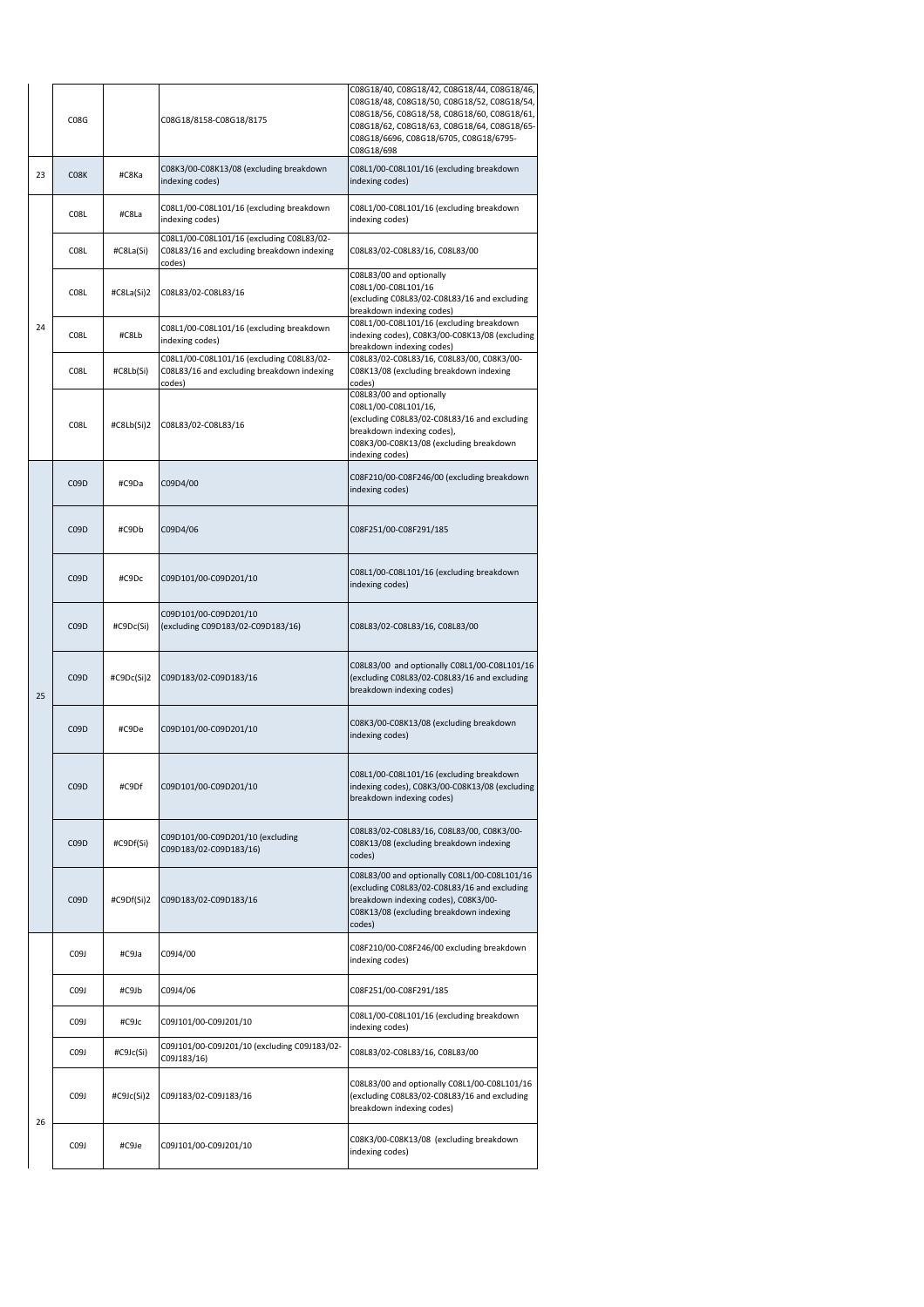|    | <b>C08G</b>       |            | C08G18/8158-C08G18/8175                                                                           | C08G18/40, C08G18/42, C08G18/44, C08G18/46,<br>C08G18/48, C08G18/50, C08G18/52, C08G18/54,<br>C08G18/56, C08G18/58, C08G18/60, C08G18/61,<br>C08G18/62, C08G18/63, C08G18/64, C08G18/65-<br>C08G18/6696, C08G18/6705, C08G18/6795-<br>C08G18/698 |
|----|-------------------|------------|---------------------------------------------------------------------------------------------------|--------------------------------------------------------------------------------------------------------------------------------------------------------------------------------------------------------------------------------------------------|
| 23 | C <sub>0</sub> 8K | #C8Ka      | C08K3/00-C08K13/08 (excluding breakdown<br>indexing codes)                                        | C08L1/00-C08L101/16 (excluding breakdown<br>indexing codes)                                                                                                                                                                                      |
|    | <b>C08L</b>       | #C8La      | C08L1/00-C08L101/16 (excluding breakdown<br>indexing codes)                                       | C08L1/00-C08L101/16 (excluding breakdown<br>indexing codes)                                                                                                                                                                                      |
|    | <b>C08L</b>       | #C8La(Si)  | C08L1/00-C08L101/16 (excluding C08L83/02-<br>C08L83/16 and excluding breakdown indexing<br>codes) | C08L83/02-C08L83/16, C08L83/00                                                                                                                                                                                                                   |
|    | <b>C08L</b>       | #C8La(Si)2 | C08L83/02-C08L83/16                                                                               | C08L83/00 and optionally<br>C08L1/00-C08L101/16<br>(excluding C08L83/02-C08L83/16 and excluding<br>breakdown indexing codes)                                                                                                                     |
| 24 | <b>C08L</b>       | #C8Lb      | C08L1/00-C08L101/16 (excluding breakdown<br>indexing codes)                                       | C08L1/00-C08L101/16 (excluding breakdown<br>indexing codes), C08K3/00-C08K13/08 (excluding<br>breakdown indexing codes)                                                                                                                          |
|    | <b>C08L</b>       | #C8Lb(Si)  | C08L1/00-C08L101/16 (excluding C08L83/02-<br>C08L83/16 and excluding breakdown indexing<br>codes) | C08L83/02-C08L83/16, C08L83/00, C08K3/00-<br>C08K13/08 (excluding breakdown indexing<br>codes)                                                                                                                                                   |
|    | <b>C08L</b>       | #C8Lb(Si)2 | C08L83/02-C08L83/16                                                                               | C08L83/00 and optionally<br>C08L1/00-C08L101/16,<br>(excluding C08L83/02-C08L83/16 and excluding<br>breakdown indexing codes),<br>C08K3/00-C08K13/08 (excluding breakdown<br>indexing codes)                                                     |
|    | C <sub>09</sub> D | #C9Da      | C09D4/00                                                                                          | C08F210/00-C08F246/00 (excluding breakdown<br>indexing codes)                                                                                                                                                                                    |
|    | C <sub>09</sub> D | #C9Db      | C09D4/06                                                                                          | C08F251/00-C08F291/185                                                                                                                                                                                                                           |
|    | C <sub>09</sub> D | #C9Dc      | C09D101/00-C09D201/10                                                                             | C08L1/00-C08L101/16 (excluding breakdown<br>indexing codes)                                                                                                                                                                                      |
|    | C <sub>09</sub> D | #C9Dc(Si)  | C09D101/00-C09D201/10<br>(excluding C09D183/02-C09D183/16)                                        | C08L83/02-C08L83/16, C08L83/00                                                                                                                                                                                                                   |
| 25 | C <sub>09</sub> D | #C9Dc(Si)2 | C09D183/02-C09D183/16                                                                             | C08L83/00 and optionally C08L1/00-C08L101/16<br>(excluding C08L83/02-C08L83/16 and excluding<br>breakdown indexing codes)                                                                                                                        |
|    | C <sub>09</sub> D | #C9De      | C09D101/00-C09D201/10                                                                             | C08K3/00-C08K13/08 (excluding breakdown<br>indexing codes)                                                                                                                                                                                       |
|    | C <sub>09</sub> D | #C9Df      | C09D101/00-C09D201/10                                                                             | C08L1/00-C08L101/16 (excluding breakdown<br>indexing codes), C08K3/00-C08K13/08 (excluding<br>breakdown indexing codes)                                                                                                                          |
|    | C <sub>09</sub> D | #C9Df(Si)  | C09D101/00-C09D201/10 (excluding<br>C09D183/02-C09D183/16)                                        | C08L83/02-C08L83/16, C08L83/00, C08K3/00-<br>C08K13/08 (excluding breakdown indexing<br>codes)                                                                                                                                                   |
|    | C <sub>09</sub> D | #C9Df(Si)2 | C09D183/02-C09D183/16                                                                             | C08L83/00 and optionally C08L1/00-C08L101/16<br>(excluding C08L83/02-C08L83/16 and excluding<br>breakdown indexing codes), C08K3/00-<br>C08K13/08 (excluding breakdown indexing<br>codes)                                                        |
|    | C09J              | #C9Ja      | C09J4/00                                                                                          | C08F210/00-C08F246/00 excluding breakdown<br>indexing codes)                                                                                                                                                                                     |
|    | C09J              | #C9Jb      | C09J4/06                                                                                          | C08F251/00-C08F291/185                                                                                                                                                                                                                           |
|    | C09J              | #C9Jc      | C09J101/00-C09J201/10                                                                             | C08L1/00-C08L101/16 (excluding breakdown<br>indexing codes)                                                                                                                                                                                      |
|    | C09J              | #C9Jc(Si)  | C09J101/00-C09J201/10 (excluding C09J183/02-<br>C09J183/16)                                       | C08L83/02-C08L83/16, C08L83/00                                                                                                                                                                                                                   |
| 26 | C <sub>0</sub> 9J | #C9Jc(Si)2 | C09J183/02-C09J183/16                                                                             | C08L83/00 and optionally C08L1/00-C08L101/16<br>(excluding C08L83/02-C08L83/16 and excluding<br>breakdown indexing codes)                                                                                                                        |
|    | C <sub>0</sub> 9J | #C9Je      | C09J101/00-C09J201/10                                                                             | C08K3/00-C08K13/08 (excluding breakdown<br>indexing codes)                                                                                                                                                                                       |